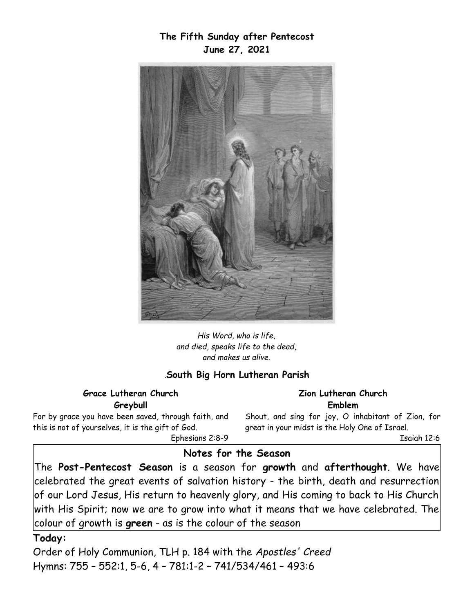**The Fifth Sunday after Pentecost June 27, 2021**



*His Word, who is life, and died, speaks life to the dead, and makes us alive.*

### *.***South Big Horn Lutheran Parish**

#### **Grace Lutheran Church Greybull**

For by grace you have been saved, through faith, and this is not of yourselves, it is the gift of God. Ephesians 2:8-9

**Zion Lutheran Church Emblem**

Shout, and sing for joy, O inhabitant of Zion, for great in your midst is the Holy One of Israel.

Isaiah 12:6

#### **Notes for the Season**

The **Post-Pentecost Season** is a season for **growth** and **afterthought**. We have celebrated the great events of salvation history - the birth, death and resurrection of our Lord Jesus, His return to heavenly glory, and His coming to back to His Church with His Spirit; now we are to grow into what it means that we have celebrated. The colour of growth is **green** - as is the colour of the season

#### **Today:**

Order of Holy Communion, TLH p. 184 with the *Apostles' Creed*  Hymns: 755 – 552:1, 5-6, 4 – 781:1-2 – 741/534/461 – 493:6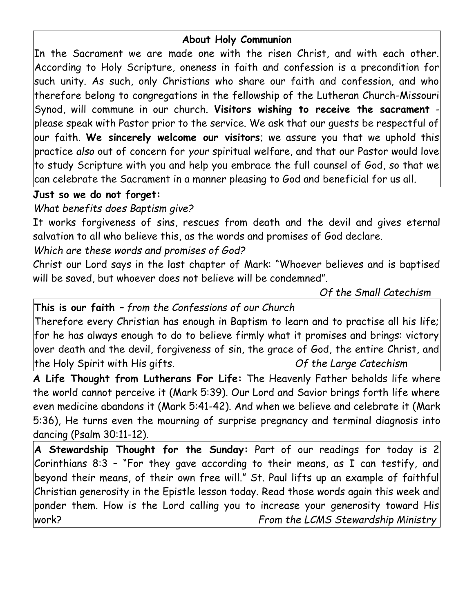# **About Holy Communion**

In the Sacrament we are made one with the risen Christ, and with each other. According to Holy Scripture, oneness in faith and confession is a precondition for such unity. As such, only Christians who share our faith and confession, and who therefore belong to congregations in the fellowship of the Lutheran Church-Missouri Synod, will commune in our church. **Visitors wishing to receive the sacrament** please speak with Pastor prior to the service. We ask that our guests be respectful of our faith. **We sincerely welcome our visitors**; we assure you that we uphold this practice *also* out of concern for *your* spiritual welfare, and that our Pastor would love to study Scripture with you and help you embrace the full counsel of God, so that we can celebrate the Sacrament in a manner pleasing to God and beneficial for us all.

### **Just so we do not forget:**

*What benefits does Baptism give?*

It works forgiveness of sins, rescues from death and the devil and gives eternal salvation to all who believe this, as the words and promises of God declare.

# *Which are these words and promises of God?*

Christ our Lord says in the last chapter of Mark: "Whoever believes and is baptised will be saved, but whoever does not believe will be condemned".

*Of the Small Catechism*

# **This is our faith** *– from the Confessions of our Church*

Therefore every Christian has enough in Baptism to learn and to practise all his life; for he has always enough to do to believe firmly what it promises and brings: victory  $\left\vert$ over death and the devil, forgiveness of sin, the grace of God, the entire Christ, and $\left\vert$ the Holy Spirit with His gifts. *Of the Large Catechism*

**A Life Thought from Lutherans For Life:** The Heavenly Father beholds life where the world cannot perceive it (Mark 5:39). Our Lord and Savior brings forth life where even medicine abandons it (Mark 5:41-42). And when we believe and celebrate it (Mark 5:36), He turns even the mourning of surprise pregnancy and terminal diagnosis into dancing (Psalm 30:11-12).

**A Stewardship Thought for the Sunday:** Part of our readings for today is 2 Corinthians 8:3 – "For they gave according to their means, as I can testify, and beyond their means, of their own free will." St. Paul lifts up an example of faithful Christian generosity in the Epistle lesson today. Read those words again this week and ponder them. How is the Lord calling you to increase your generosity toward His work? *From the LCMS Stewardship Ministry*